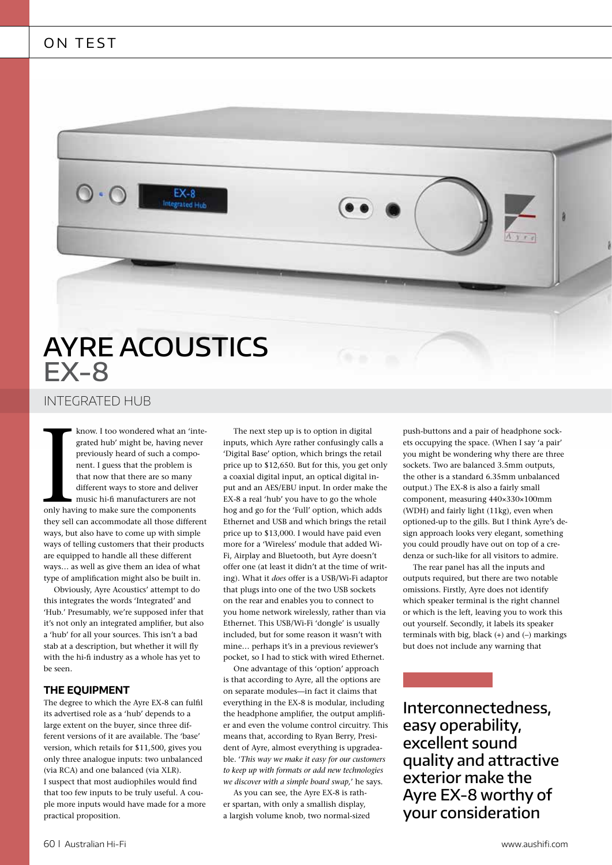

# AYRE ACOUSTICS EX-8

### INTEGRATED HUB

know. I too wondered what an 'integrated hub' might be, having never<br>previously heard of such a compo-<br>nent. I guess that the problem is<br>that now that there are so many<br>different ways to store and deliver<br>music hi-fi manuf grated hub' might be, having never previously heard of such a component. I guess that the problem is that now that there are so many different ways to store and deliver music hi-fi manufacturers are not only having to make sure the components they sell can accommodate all those different ways, but also have to come up with simple ways of telling customers that their products are equipped to handle all these different ways… as well as give them an idea of what type of amplification might also be built in.

Obviously, Ayre Acoustics' attempt to do this integrates the words 'Integrated' and 'Hub.' Presumably, we're supposed infer that it's not only an integrated amplifier, but also a 'hub' for all your sources. This isn't a bad stab at a description, but whether it will fly with the hi-fi industry as a whole has yet to be seen.

### **THE EQUIPMENT**

The degree to which the Ayre EX-8 can fulfil its advertised role as a 'hub' depends to a large extent on the buyer, since three different versions of it are available. The 'base' version, which retails for \$11,500, gives you only three analogue inputs: two unbalanced (via RCA) and one balanced (via XLR). I suspect that most audiophiles would find that too few inputs to be truly useful. A couple more inputs would have made for a more practical proposition.

The next step up is to option in digital inputs, which Ayre rather confusingly calls a 'Digital Base' option, which brings the retail price up to \$12,650. But for this, you get only a coaxial digital input, an optical digital input and an AES/EBU input. In order make the EX-8 a real 'hub' you have to go the whole hog and go for the 'Full' option, which adds Ethernet and USB and which brings the retail price up to \$13,000. I would have paid even more for a 'Wireless' module that added Wi-Fi, Airplay and Bluetooth, but Ayre doesn't offer one (at least it didn't at the time of writing). What it *does* offer is a USB/Wi-Fi adaptor that plugs into one of the two USB sockets on the rear and enables you to connect to you home network wirelessly, rather than via Ethernet. This USB/Wi-Fi 'dongle' is usually included, but for some reason it wasn't with mine… perhaps it's in a previous reviewer's pocket, so I had to stick with wired Ethernet.

One advantage of this 'option' approach is that according to Ayre, all the options are on separate modules—in fact it claims that everything in the EX-8 is modular, including the headphone amplifier, the output amplifier and even the volume control circuitry. This means that, according to Ryan Berry, President of Ayre, almost everything is upgradeable. '*This way we make it easy for our customers to keep up with formats or add new technologies we discover with a simple board swap,*' he says.

As you can see, the Ayre EX-8 is rather spartan, with only a smallish display, a largish volume knob, two normal-sized push-buttons and a pair of headphone sockets occupying the space. (When I say 'a pair' you might be wondering why there are three sockets. Two are balanced 3.5mm outputs, the other is a standard 6.35mm unbalanced output.) The EX-8 is also a fairly small component, measuring 440×330×100mm (WDH) and fairly light (11kg), even when optioned-up to the gills. But I think Ayre's design approach looks very elegant, something you could proudly have out on top of a credenza or such-like for all visitors to admire.

The rear panel has all the inputs and outputs required, but there are two notable omissions. Firstly, Ayre does not identify which speaker terminal is the right channel or which is the left, leaving you to work this out yourself. Secondly, it labels its speaker terminals with big, black (+) and (–) markings but does not include any warning that

Interconnectedness, easy operability, excellent sound quality and attractive exterior make the Ayre EX-8 worthy of your consideration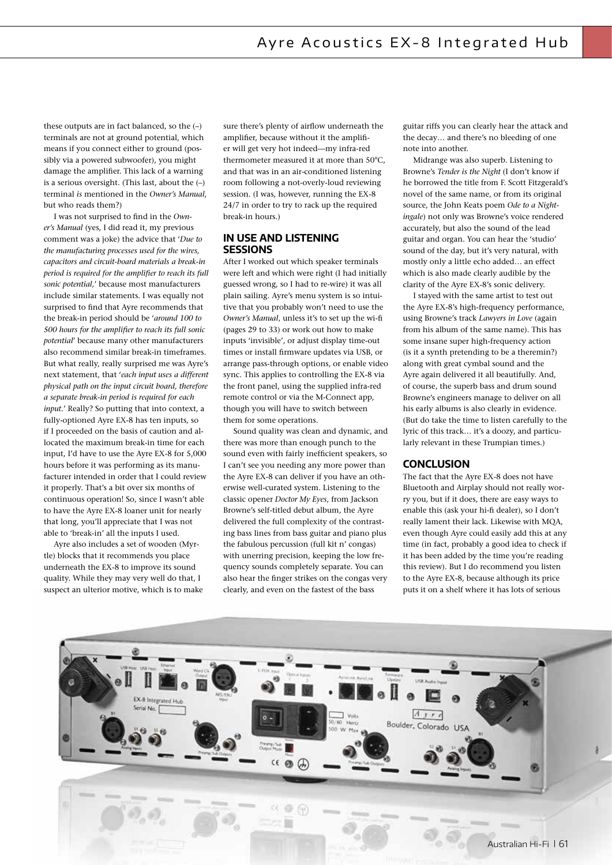these outputs are in fact balanced, so the (–) terminals are not at ground potential, which means if you connect either to ground (possibly via a powered subwoofer), you might damage the amplifier. This lack of a warning is a serious oversight. (This last, about the (–) terminal *is* mentioned in the *Owner's Manual*, but who reads them?)

I was not surprised to find in the *Owner's Manual* (yes, I did read it, my previous comment was a joke) the advice that '*Due to the manufacturing processes used for the wires, capacitors and circuit-board materials a break-in period is required for the amplifier to reach its full sonic potential,*' because most manufacturers include similar statements. I was equally not surprised to find that Ayre recommends that the break-in period should be '*around 100 to 500 hours for the amplifier to reach its full sonic potential*' because many other manufacturers also recommend similar break-in timeframes. But what really, really surprised me was Ayre's next statement, that '*each input uses a different physical path on the input circuit board, therefore a separate break-in period is required for each input.*' Really? So putting that into context, a fully-optioned Ayre EX-8 has ten inputs, so if I proceeded on the basis of caution and allocated the maximum break-in time for each input, I'd have to use the Ayre EX-8 for 5,000 hours before it was performing as its manufacturer intended in order that I could review it properly. That's a bit over six months of continuous operation! So, since I wasn't able to have the Ayre EX-8 loaner unit for nearly that long, you'll appreciate that I was not able to 'break-in' all the inputs I used.

Ayre also includes a set of wooden (Myrtle) blocks that it recommends you place underneath the EX-8 to improve its sound quality. While they may very well do that, I suspect an ulterior motive, which is to make

sure there's plenty of airflow underneath the amplifier, because without it the amplifier will get very hot indeed—my infra-red thermometer measured it at more than 50°C, and that was in an air-conditioned listening room following a not-overly-loud reviewing session. (I was, however, running the EX-8 24/7 in order to try to rack up the required break-in hours.)

#### **IN USE AND LISTENING SESSIONS**

After I worked out which speaker terminals were left and which were right (I had initially guessed wrong, so I had to re-wire) it was all plain sailing. Ayre's menu system is so intuitive that you probably won't need to use the *Owner's Manual*, unless it's to set up the wi-fi (pages 29 to 33) or work out how to make inputs 'invisible', or adjust display time-out times or install firmware updates via USB, or arrange pass-through options, or enable video sync. This applies to controlling the EX-8 via the front panel, using the supplied infra-red remote control or via the M-Connect app, though you will have to switch between them for some operations.

Sound quality was clean and dynamic, and there was more than enough punch to the sound even with fairly inefficient speakers, so I can't see you needing any more power than the Ayre EX-8 can deliver if you have an otherwise well-curated system. Listening to the classic opener *Doctor My Eyes*, from Jackson Browne's self-titled debut album, the Ayre delivered the full complexity of the contrasting bass lines from bass guitar and piano plus the fabulous percussion (full kit n' congas) with unerring precision, keeping the low frequency sounds completely separate. You can also hear the finger strikes on the congas very clearly, and even on the fastest of the bass

guitar riffs you can clearly hear the attack and the decay… and there's no bleeding of one note into another.

Midrange was also superb. Listening to Browne's *Tender is the Night* (I don't know if he borrowed the title from F. Scott Fitzgerald's novel of the same name, or from its original source, the John Keats poem *Ode to a Nightingale*) not only was Browne's voice rendered accurately, but also the sound of the lead guitar and organ. You can hear the 'studio' sound of the day, but it's very natural, with mostly only a little echo added… an effect which is also made clearly audible by the clarity of the Ayre EX-8's sonic delivery.

I stayed with the same artist to test out the Ayre EX-8's high-frequency performance, using Browne's track *Lawyers in Love* (again from his album of the same name). This has some insane super high-frequency action (is it a synth pretending to be a theremin?) along with great cymbal sound and the Ayre again delivered it all beautifully. And, of course, the superb bass and drum sound Browne's engineers manage to deliver on all his early albums is also clearly in evidence. (But do take the time to listen carefully to the lyric of this track… it's a doozy, and particularly relevant in these Trumpian times.)

#### **CONCLUSION**

The fact that the Ayre EX-8 does not have Bluetooth and Airplay should not really worry you, but if it does, there are easy ways to enable this (ask your hi-fi dealer), so I don't really lament their lack. Likewise with MQA, even though Ayre could easily add this at any time (in fact, probably a good idea to check if it has been added by the time you're reading this review). But I do recommend you listen to the Ayre EX-8, because although its price puts it on a shelf where it has lots of serious

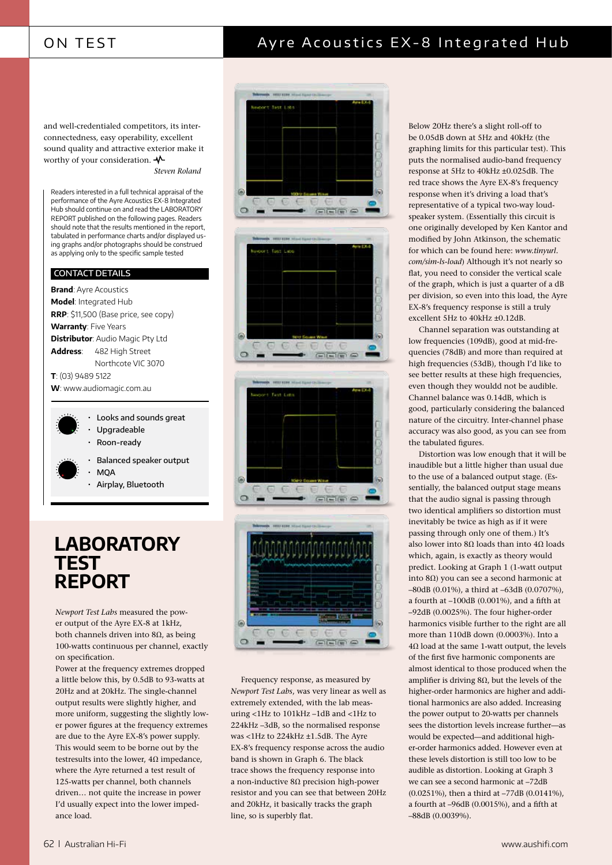and well-credentialed competitors, its interconnectedness, easy operability, excellent sound quality and attractive exterior make it worthy of your consideration.  $\mathcal{N}$ 

*Steven Roland*

Readers interested in a full technical appraisal of the performance of the Ayre Acoustics EX-8 Integrated Hub should continue on and read the LABORATORY REPORT published on the following pages. Readers should note that the results mentioned in the report, tabulated in performance charts and/or displayed using graphs and/or photographs should be construed as applying only to the specific sample tested

#### CONTACT DETAILS

**Brand**: Ayre Acoustics **Model**: Integrated Hub **RRP**: \$11,500 (Base price, see copy) **Warranty**: Five Years **Distributor**: Audio Magic Pty Ltd **Address**: 482 High Street Northcote VIC 3070 **T**: (03) 9489 5122 **W**: www.audiomagic.com.au



• Looks and sounds great • Upgradeable • Roon-ready

- 
- Balanced speaker output
- MQA
- Airplay, Bluetooth

# **LABORATORY TEST REPORT**

*Newport Test Labs* measured the power output of the Ayre EX-8 at 1kHz, both channels driven into 8Ω, as being 100-watts continuous per channel, exactly on specification.

Power at the frequency extremes dropped a little below this, by 0.5dB to 93-watts at 20Hz and at 20kHz. The single-channel output results were slightly higher, and more uniform, suggesting the slightly lower power figures at the frequency extremes are due to the Ayre EX-8's power supply. This would seem to be borne out by the testresults into the lower,  $4Ω$  impedance, where the Ayre returned a test result of 125-watts per channel, both channels driven… not quite the increase in power I'd usually expect into the lower impedance load.









Frequency response, as measured by *Newport Test Labs*, was very linear as well as extremely extended, with the lab measuring <1Hz to 101kHz –1dB and <1Hz to 224kHz –3dB, so the normalised response was <1Hz to 224kHz ±1.5dB. The Ayre EX-8's frequency response across the audio band is shown in Graph 6. The black trace shows the frequency response into a non-inductive 8Ω precision high-power resistor and you can see that between 20Hz and 20kHz, it basically tracks the graph line, so is superbly flat.

Below 20Hz there's a slight roll-off to be 0.05dB down at 5Hz and 40kHz (the graphing limits for this particular test). This puts the normalised audio-band frequency response at 5Hz to 40kHz ±0.025dB. The red trace shows the Ayre EX-8's frequency response when it's driving a load that's representative of a typical two-way loudspeaker system. (Essentially this circuit is one originally developed by Ken Kantor and modified by John Atkinson, the schematic for which can be found here: *www.tinyurl. com/sim-ls-load*) Although it's not nearly so flat, you need to consider the vertical scale of the graph, which is just a quarter of a dB per division, so even into this load, the Ayre EX-8's frequency response is still a truly excellent 5Hz to 40kHz ±0.12dB.

Channel separation was outstanding at low frequencies (109dB), good at mid-frequencies (78dB) and more than required at high frequencies (53dB), though I'd like to see better results at these high frequencies, even though they wouldd not be audible. Channel balance was 0.14dB, which is good, particularly considering the balanced nature of the circuitry. Inter-channel phase accuracy was also good, as you can see from the tabulated figures.

Distortion was low enough that it will be inaudible but a little higher than usual due to the use of a balanced output stage. (Essentially, the balanced output stage means that the audio signal is passing through two identical amplifiers so distortion must inevitably be twice as high as if it were passing through only one of them.) It's also lower into 8Ω loads than into 4Ω loads which, again, is exactly as theory would predict. Looking at Graph 1 (1-watt output into 8Ω) you can see a second harmonic at –80dB (0.01%), a third at –63dB (0.0707%), a fourth at –100dB (0.001%), and a fifth at –92dB (0.0025%). The four higher-order harmonics visible further to the right are all more than 110dB down (0.0003%). Into a 4Ω load at the same 1-watt output, the levels of the first five harmonic components are almost identical to those produced when the amplifier is driving 8Ω, but the levels of the higher-order harmonics are higher and additional harmonics are also added. Increasing the power output to 20-watts per channels sees the distortion levels increase further—as would be expected—and additional higher-order harmonics added. However even at these levels distortion is still too low to be audible as distortion. Looking at Graph 3 we can see a second harmonic at –72dB (0.0251%), then a third at –77dB (0.0141%), a fourth at –96dB (0.0015%), and a fifth at –88dB (0.0039%).